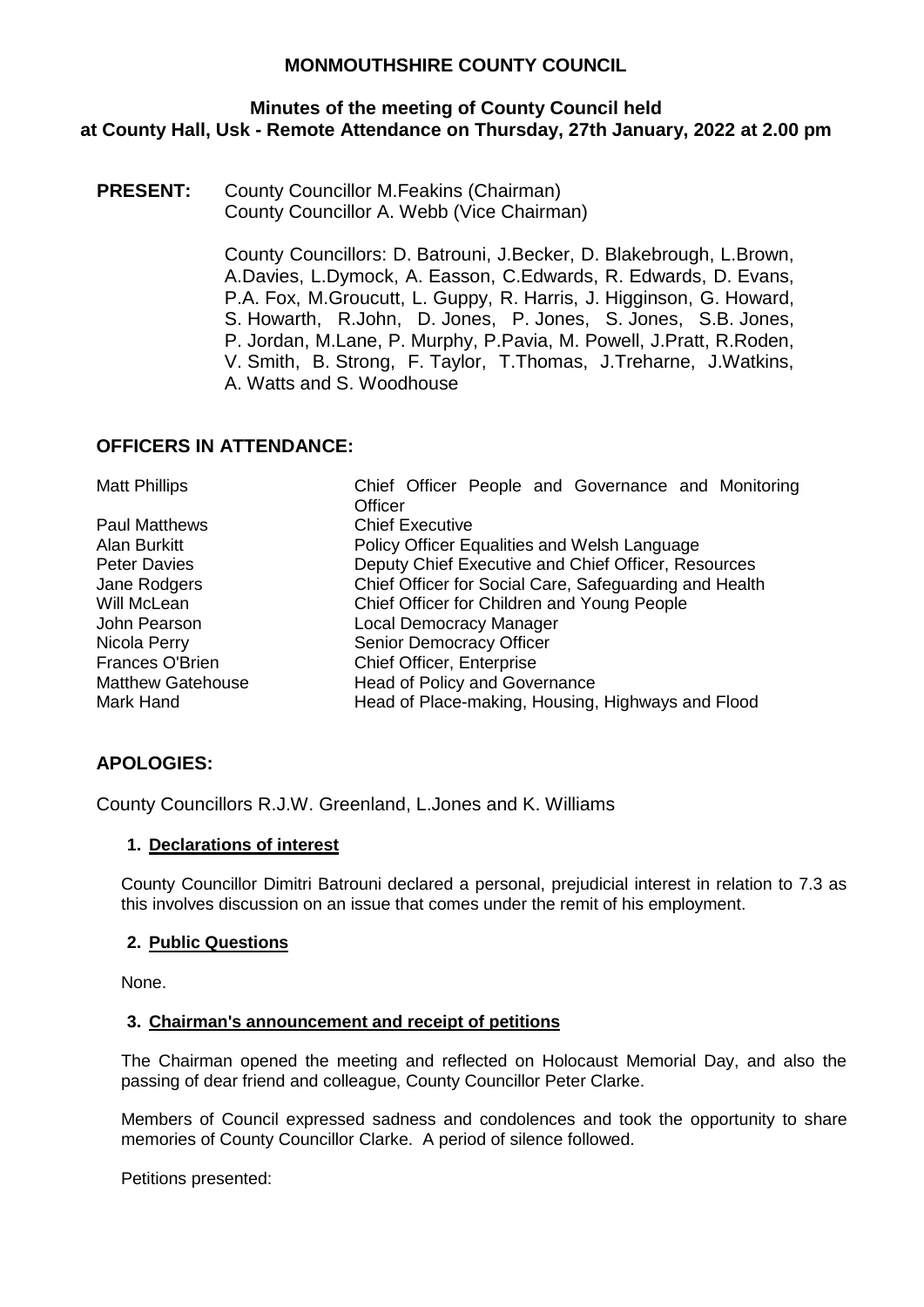## **Minutes of the meeting of County Council held at County Hall, Usk - Remote Attendance on Thursday, 27th January, 2022 at 2.00 pm**

**PRESENT:** County Councillor M.Feakins (Chairman) County Councillor A. Webb (Vice Chairman)

> County Councillors: D. Batrouni, J.Becker, D. Blakebrough, L.Brown, A.Davies, L.Dymock, A. Easson, C.Edwards, R. Edwards, D. Evans, P.A. Fox, M.Groucutt, L. Guppy, R. Harris, J. Higginson, G. Howard, S. Howarth, R.John, D. Jones, P. Jones, S. Jones, S.B. Jones, P. Jordan, M.Lane, P. Murphy, P.Pavia, M. Powell, J.Pratt, R.Roden, V. Smith, B. Strong, F. Taylor, T.Thomas, J.Treharne, J.Watkins, A. Watts and S. Woodhouse

## **OFFICERS IN ATTENDANCE:**

| <b>Matt Phillips</b>     | Chief Officer People and Governance and Monitoring     |
|--------------------------|--------------------------------------------------------|
|                          | Officer                                                |
| <b>Paul Matthews</b>     | <b>Chief Executive</b>                                 |
| Alan Burkitt             | Policy Officer Equalities and Welsh Language           |
| <b>Peter Davies</b>      | Deputy Chief Executive and Chief Officer, Resources    |
| Jane Rodgers             | Chief Officer for Social Care, Safeguarding and Health |
| Will McLean              | Chief Officer for Children and Young People            |
| John Pearson             | <b>Local Democracy Manager</b>                         |
| Nicola Perry             | Senior Democracy Officer                               |
| Frances O'Brien          | <b>Chief Officer, Enterprise</b>                       |
| <b>Matthew Gatehouse</b> | Head of Policy and Governance                          |
| Mark Hand                | Head of Place-making, Housing, Highways and Flood      |

# **APOLOGIES:**

County Councillors R.J.W. Greenland, L.Jones and K. Williams

### **1. Declarations of interest**

County Councillor Dimitri Batrouni declared a personal, prejudicial interest in relation to 7.3 as this involves discussion on an issue that comes under the remit of his employment.

### **2. Public Questions**

None.

### **3. Chairman's announcement and receipt of petitions**

The Chairman opened the meeting and reflected on Holocaust Memorial Day, and also the passing of dear friend and colleague, County Councillor Peter Clarke.

Members of Council expressed sadness and condolences and took the opportunity to share memories of County Councillor Clarke. A period of silence followed.

Petitions presented: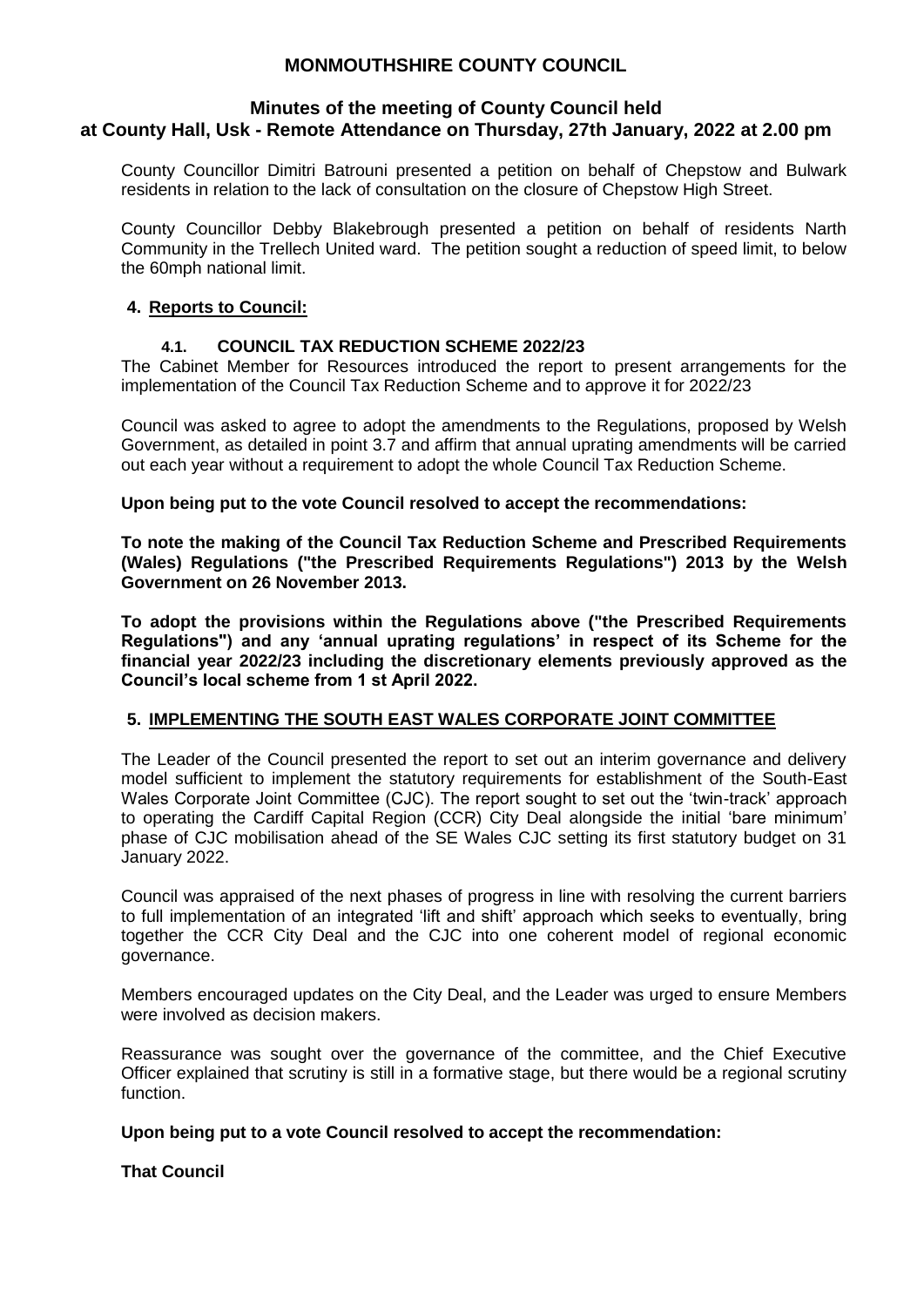### **Minutes of the meeting of County Council held at County Hall, Usk - Remote Attendance on Thursday, 27th January, 2022 at 2.00 pm**

County Councillor Dimitri Batrouni presented a petition on behalf of Chepstow and Bulwark residents in relation to the lack of consultation on the closure of Chepstow High Street.

County Councillor Debby Blakebrough presented a petition on behalf of residents Narth Community in the Trellech United ward. The petition sought a reduction of speed limit, to below the 60mph national limit.

## **4. Reports to Council:**

### **4.1. COUNCIL TAX REDUCTION SCHEME 2022/23**

The Cabinet Member for Resources introduced the report to present arrangements for the implementation of the Council Tax Reduction Scheme and to approve it for 2022/23

Council was asked to agree to adopt the amendments to the Regulations, proposed by Welsh Government, as detailed in point 3.7 and affirm that annual uprating amendments will be carried out each year without a requirement to adopt the whole Council Tax Reduction Scheme.

### **Upon being put to the vote Council resolved to accept the recommendations:**

**To note the making of the Council Tax Reduction Scheme and Prescribed Requirements (Wales) Regulations ("the Prescribed Requirements Regulations") 2013 by the Welsh Government on 26 November 2013.** 

**To adopt the provisions within the Regulations above ("the Prescribed Requirements Regulations") and any 'annual uprating regulations' in respect of its Scheme for the financial year 2022/23 including the discretionary elements previously approved as the Council's local scheme from 1 st April 2022.**

### **5. IMPLEMENTING THE SOUTH EAST WALES CORPORATE JOINT COMMITTEE**

The Leader of the Council presented the report to set out an interim governance and delivery model sufficient to implement the statutory requirements for establishment of the South-East Wales Corporate Joint Committee (CJC). The report sought to set out the 'twin-track' approach to operating the Cardiff Capital Region (CCR) City Deal alongside the initial 'bare minimum' phase of CJC mobilisation ahead of the SE Wales CJC setting its first statutory budget on 31 January 2022.

Council was appraised of the next phases of progress in line with resolving the current barriers to full implementation of an integrated 'lift and shift' approach which seeks to eventually, bring together the CCR City Deal and the CJC into one coherent model of regional economic governance.

Members encouraged updates on the City Deal, and the Leader was urged to ensure Members were involved as decision makers.

Reassurance was sought over the governance of the committee, and the Chief Executive Officer explained that scrutiny is still in a formative stage, but there would be a regional scrutiny function.

### **Upon being put to a vote Council resolved to accept the recommendation:**

### **That Council**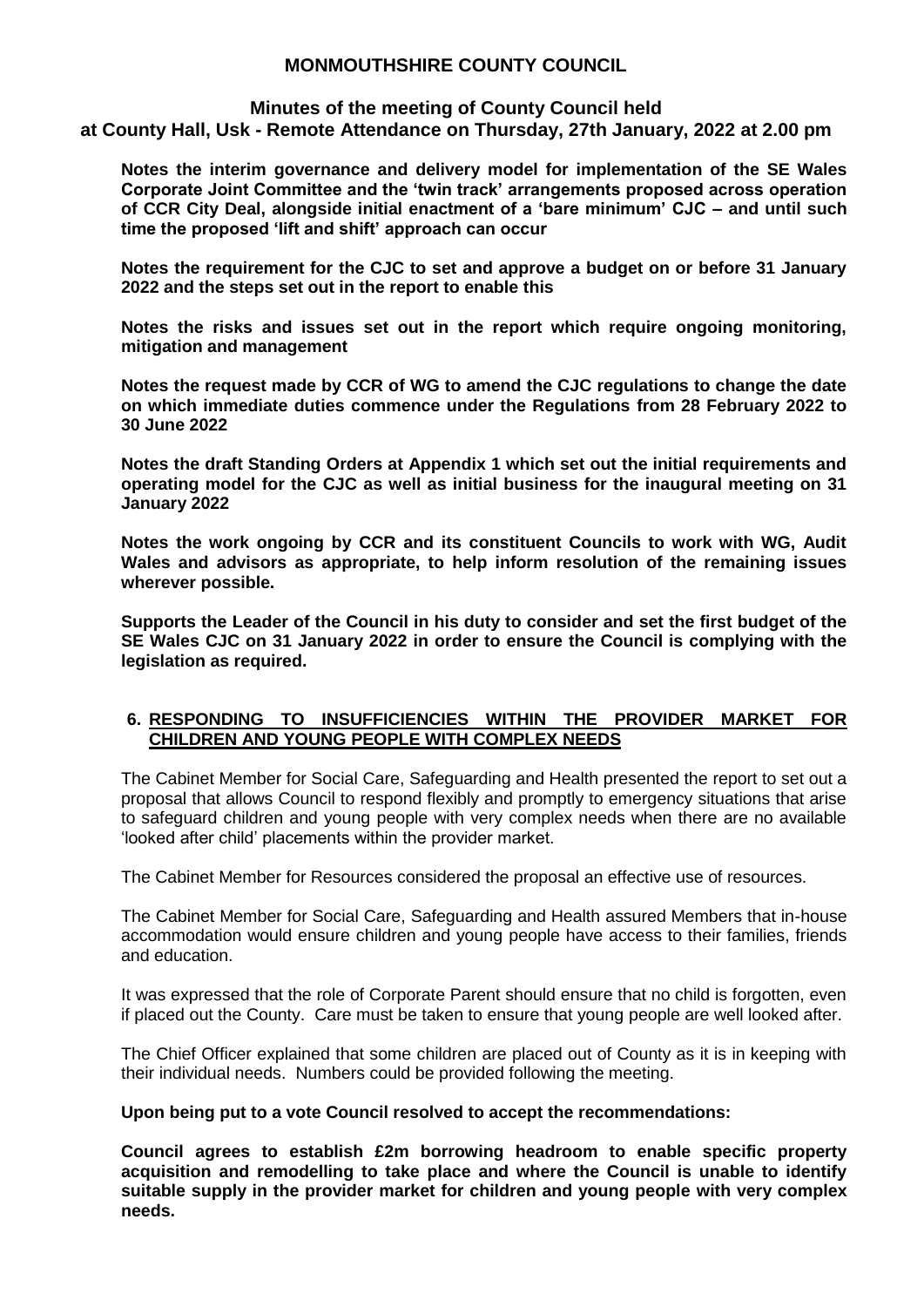### **Minutes of the meeting of County Council held**

**at County Hall, Usk - Remote Attendance on Thursday, 27th January, 2022 at 2.00 pm**

**Notes the interim governance and delivery model for implementation of the SE Wales Corporate Joint Committee and the 'twin track' arrangements proposed across operation of CCR City Deal, alongside initial enactment of a 'bare minimum' CJC – and until such time the proposed 'lift and shift' approach can occur**

**Notes the requirement for the CJC to set and approve a budget on or before 31 January 2022 and the steps set out in the report to enable this**

**Notes the risks and issues set out in the report which require ongoing monitoring, mitigation and management**

**Notes the request made by CCR of WG to amend the CJC regulations to change the date on which immediate duties commence under the Regulations from 28 February 2022 to 30 June 2022**

**Notes the draft Standing Orders at Appendix 1 which set out the initial requirements and operating model for the CJC as well as initial business for the inaugural meeting on 31 January 2022**

**Notes the work ongoing by CCR and its constituent Councils to work with WG, Audit Wales and advisors as appropriate, to help inform resolution of the remaining issues wherever possible.**

**Supports the Leader of the Council in his duty to consider and set the first budget of the SE Wales CJC on 31 January 2022 in order to ensure the Council is complying with the legislation as required.**

### **6. RESPONDING TO INSUFFICIENCIES WITHIN THE PROVIDER MARKET FOR CHILDREN AND YOUNG PEOPLE WITH COMPLEX NEEDS**

The Cabinet Member for Social Care, Safeguarding and Health presented the report to set out a proposal that allows Council to respond flexibly and promptly to emergency situations that arise to safeguard children and young people with very complex needs when there are no available 'looked after child' placements within the provider market.

The Cabinet Member for Resources considered the proposal an effective use of resources.

The Cabinet Member for Social Care, Safeguarding and Health assured Members that in-house accommodation would ensure children and young people have access to their families, friends and education.

It was expressed that the role of Corporate Parent should ensure that no child is forgotten, even if placed out the County. Care must be taken to ensure that young people are well looked after.

The Chief Officer explained that some children are placed out of County as it is in keeping with their individual needs. Numbers could be provided following the meeting.

#### **Upon being put to a vote Council resolved to accept the recommendations:**

**Council agrees to establish £2m borrowing headroom to enable specific property acquisition and remodelling to take place and where the Council is unable to identify suitable supply in the provider market for children and young people with very complex needs.**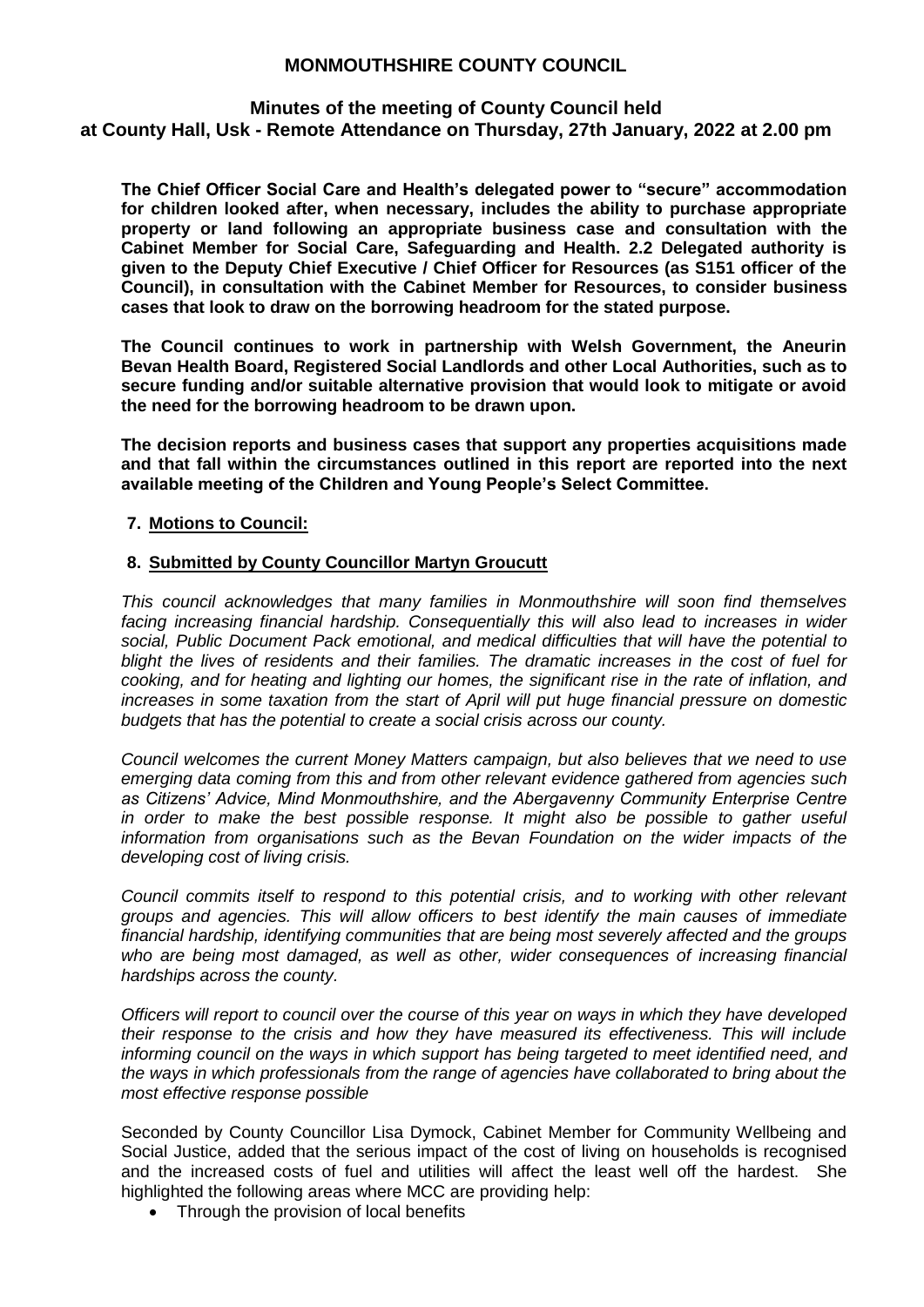## **Minutes of the meeting of County Council held**

**at County Hall, Usk - Remote Attendance on Thursday, 27th January, 2022 at 2.00 pm**

**The Chief Officer Social Care and Health's delegated power to "secure" accommodation for children looked after, when necessary, includes the ability to purchase appropriate property or land following an appropriate business case and consultation with the Cabinet Member for Social Care, Safeguarding and Health. 2.2 Delegated authority is given to the Deputy Chief Executive / Chief Officer for Resources (as S151 officer of the Council), in consultation with the Cabinet Member for Resources, to consider business cases that look to draw on the borrowing headroom for the stated purpose.** 

**The Council continues to work in partnership with Welsh Government, the Aneurin Bevan Health Board, Registered Social Landlords and other Local Authorities, such as to secure funding and/or suitable alternative provision that would look to mitigate or avoid the need for the borrowing headroom to be drawn upon.** 

**The decision reports and business cases that support any properties acquisitions made and that fall within the circumstances outlined in this report are reported into the next available meeting of the Children and Young People's Select Committee.** 

### **7. Motions to Council:**

### **8. Submitted by County Councillor Martyn Groucutt**

*This council acknowledges that many families in Monmouthshire will soon find themselves facing increasing financial hardship. Consequentially this will also lead to increases in wider social, Public Document Pack emotional, and medical difficulties that will have the potential to blight the lives of residents and their families. The dramatic increases in the cost of fuel for cooking, and for heating and lighting our homes, the significant rise in the rate of inflation, and increases in some taxation from the start of April will put huge financial pressure on domestic budgets that has the potential to create a social crisis across our county.* 

*Council welcomes the current Money Matters campaign, but also believes that we need to use emerging data coming from this and from other relevant evidence gathered from agencies such as Citizens' Advice, Mind Monmouthshire, and the Abergavenny Community Enterprise Centre in order to make the best possible response. It might also be possible to gather useful information from organisations such as the Bevan Foundation on the wider impacts of the developing cost of living crisis.* 

*Council commits itself to respond to this potential crisis, and to working with other relevant groups and agencies. This will allow officers to best identify the main causes of immediate financial hardship, identifying communities that are being most severely affected and the groups who are being most damaged, as well as other, wider consequences of increasing financial hardships across the county.* 

*Officers will report to council over the course of this year on ways in which they have developed their response to the crisis and how they have measured its effectiveness. This will include informing council on the ways in which support has being targeted to meet identified need, and the ways in which professionals from the range of agencies have collaborated to bring about the most effective response possible*

Seconded by County Councillor Lisa Dymock, Cabinet Member for Community Wellbeing and Social Justice, added that the serious impact of the cost of living on households is recognised and the increased costs of fuel and utilities will affect the least well off the hardest. She highlighted the following areas where MCC are providing help:

• Through the provision of local benefits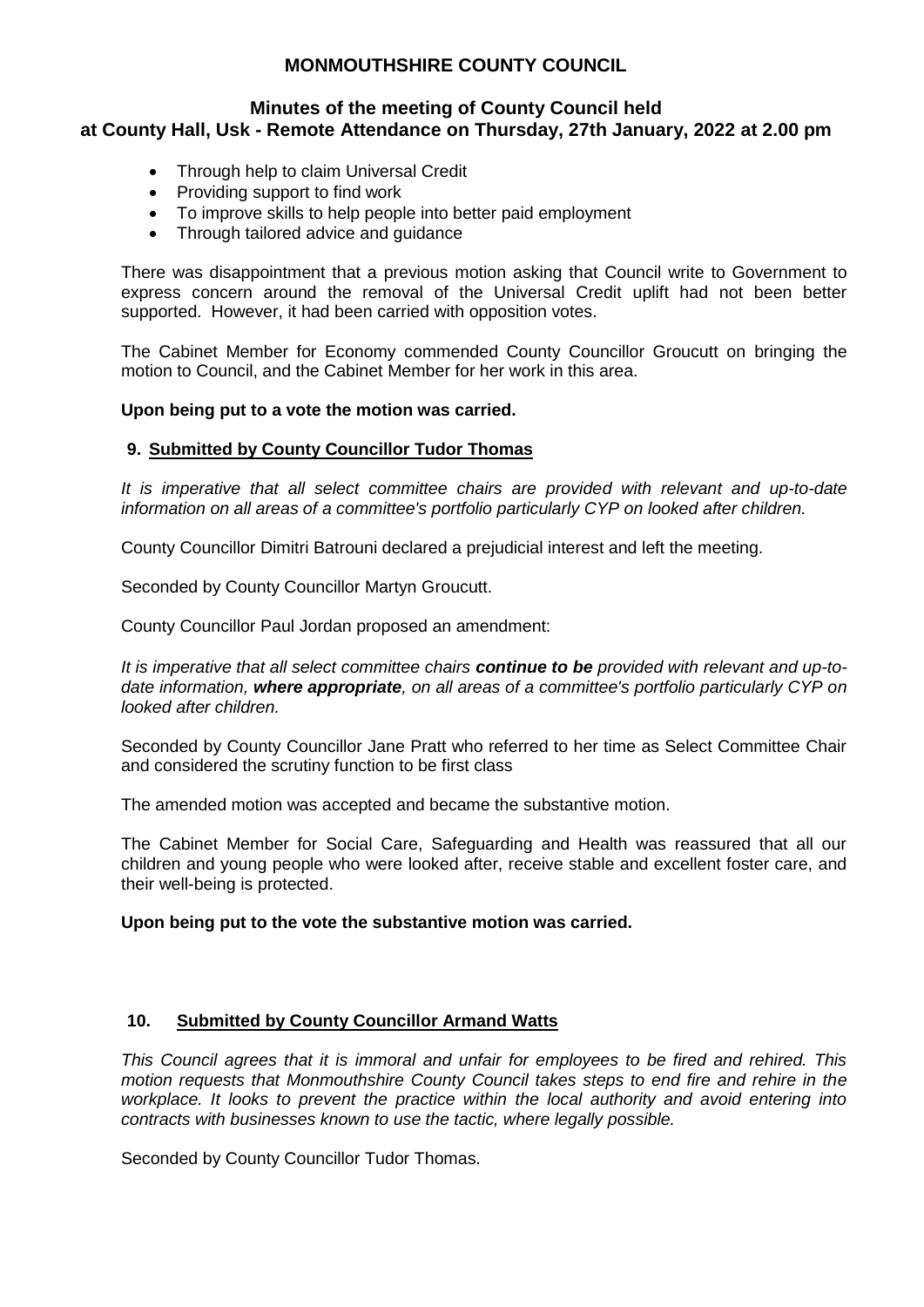### **Minutes of the meeting of County Council held at County Hall, Usk - Remote Attendance on Thursday, 27th January, 2022 at 2.00 pm**

- Through help to claim Universal Credit
- Providing support to find work
- To improve skills to help people into better paid employment
- Through tailored advice and guidance

There was disappointment that a previous motion asking that Council write to Government to express concern around the removal of the Universal Credit uplift had not been better supported. However, it had been carried with opposition votes.

The Cabinet Member for Economy commended County Councillor Groucutt on bringing the motion to Council, and the Cabinet Member for her work in this area.

### **Upon being put to a vote the motion was carried.**

### **9. Submitted by County Councillor Tudor Thomas**

*It is imperative that all select committee chairs are provided with relevant and up-to-date information on all areas of a committee's portfolio particularly CYP on looked after children.*

County Councillor Dimitri Batrouni declared a prejudicial interest and left the meeting.

Seconded by County Councillor Martyn Groucutt.

County Councillor Paul Jordan proposed an amendment:

*It is imperative that all select committee chairs continue to be provided with relevant and up-todate information, where appropriate, on all areas of a committee's portfolio particularly CYP on looked after children.*

Seconded by County Councillor Jane Pratt who referred to her time as Select Committee Chair and considered the scrutiny function to be first class

The amended motion was accepted and became the substantive motion.

The Cabinet Member for Social Care, Safeguarding and Health was reassured that all our children and young people who were looked after, receive stable and excellent foster care, and their well-being is protected.

### **Upon being put to the vote the substantive motion was carried.**

### **10. Submitted by County Councillor Armand Watts**

*This Council agrees that it is immoral and unfair for employees to be fired and rehired. This motion requests that Monmouthshire County Council takes steps to end fire and rehire in the*  workplace. It looks to prevent the practice within the local authority and avoid entering into *contracts with businesses known to use the tactic, where legally possible.*

Seconded by County Councillor Tudor Thomas.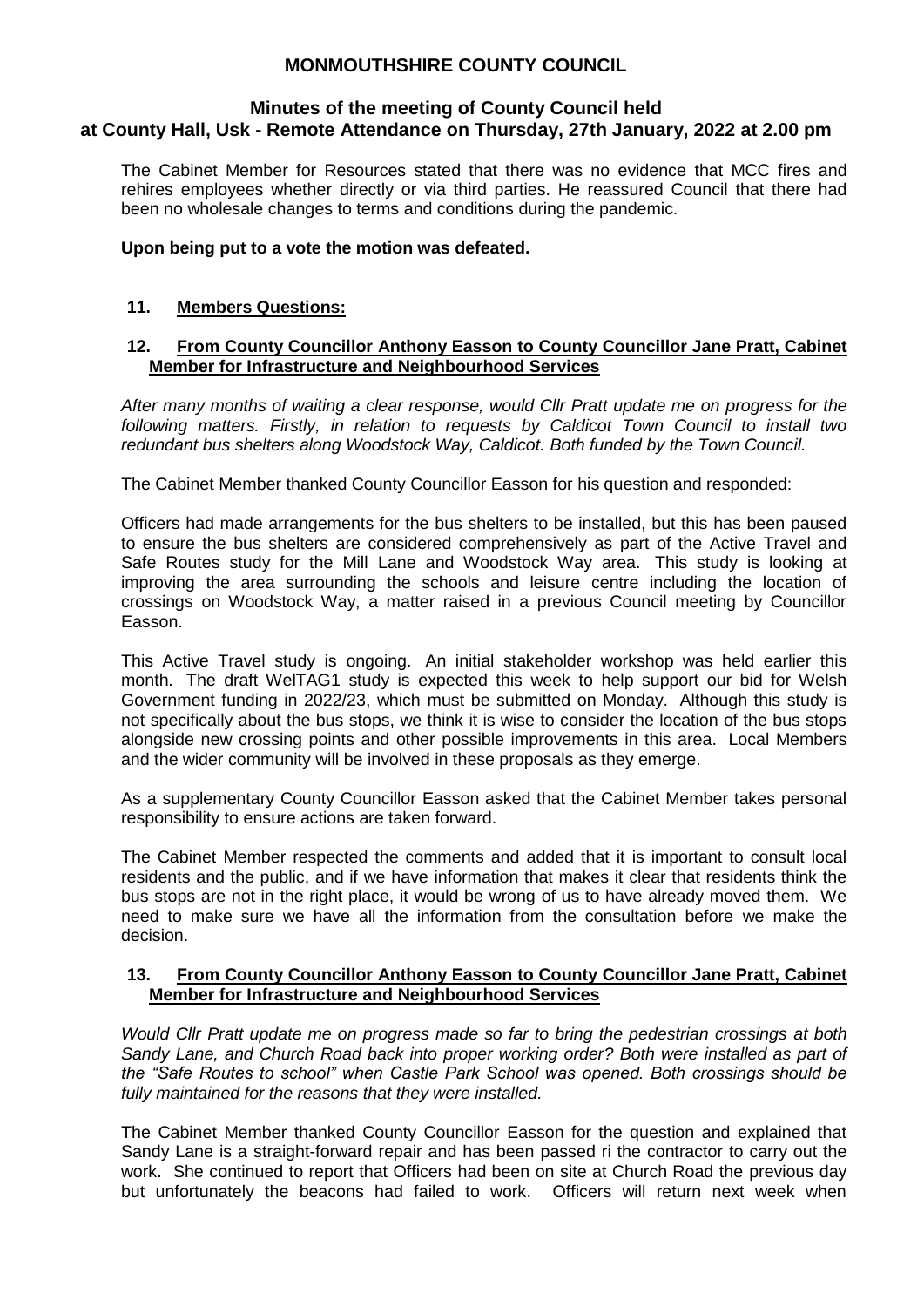### **Minutes of the meeting of County Council held at County Hall, Usk - Remote Attendance on Thursday, 27th January, 2022 at 2.00 pm**

The Cabinet Member for Resources stated that there was no evidence that MCC fires and rehires employees whether directly or via third parties. He reassured Council that there had been no wholesale changes to terms and conditions during the pandemic.

## **Upon being put to a vote the motion was defeated.**

## **11. Members Questions:**

### **12. From County Councillor Anthony Easson to County Councillor Jane Pratt, Cabinet Member for Infrastructure and Neighbourhood Services**

*After many months of waiting a clear response, would Cllr Pratt update me on progress for the following matters. Firstly, in relation to requests by Caldicot Town Council to install two redundant bus shelters along Woodstock Way, Caldicot. Both funded by the Town Council.*

The Cabinet Member thanked County Councillor Easson for his question and responded:

Officers had made arrangements for the bus shelters to be installed, but this has been paused to ensure the bus shelters are considered comprehensively as part of the Active Travel and Safe Routes study for the Mill Lane and Woodstock Way area. This study is looking at improving the area surrounding the schools and leisure centre including the location of crossings on Woodstock Way, a matter raised in a previous Council meeting by Councillor Easson.

This Active Travel study is ongoing. An initial stakeholder workshop was held earlier this month. The draft WelTAG1 study is expected this week to help support our bid for Welsh Government funding in 2022/23, which must be submitted on Monday. Although this study is not specifically about the bus stops, we think it is wise to consider the location of the bus stops alongside new crossing points and other possible improvements in this area. Local Members and the wider community will be involved in these proposals as they emerge.

As a supplementary County Councillor Easson asked that the Cabinet Member takes personal responsibility to ensure actions are taken forward.

The Cabinet Member respected the comments and added that it is important to consult local residents and the public, and if we have information that makes it clear that residents think the bus stops are not in the right place, it would be wrong of us to have already moved them. We need to make sure we have all the information from the consultation before we make the decision.

### **13. From County Councillor Anthony Easson to County Councillor Jane Pratt, Cabinet Member for Infrastructure and Neighbourhood Services**

*Would Cllr Pratt update me on progress made so far to bring the pedestrian crossings at both Sandy Lane, and Church Road back into proper working order? Both were installed as part of the "Safe Routes to school" when Castle Park School was opened. Both crossings should be fully maintained for the reasons that they were installed.*

The Cabinet Member thanked County Councillor Easson for the question and explained that Sandy Lane is a straight-forward repair and has been passed ri the contractor to carry out the work. She continued to report that Officers had been on site at Church Road the previous day but unfortunately the beacons had failed to work. Officers will return next week when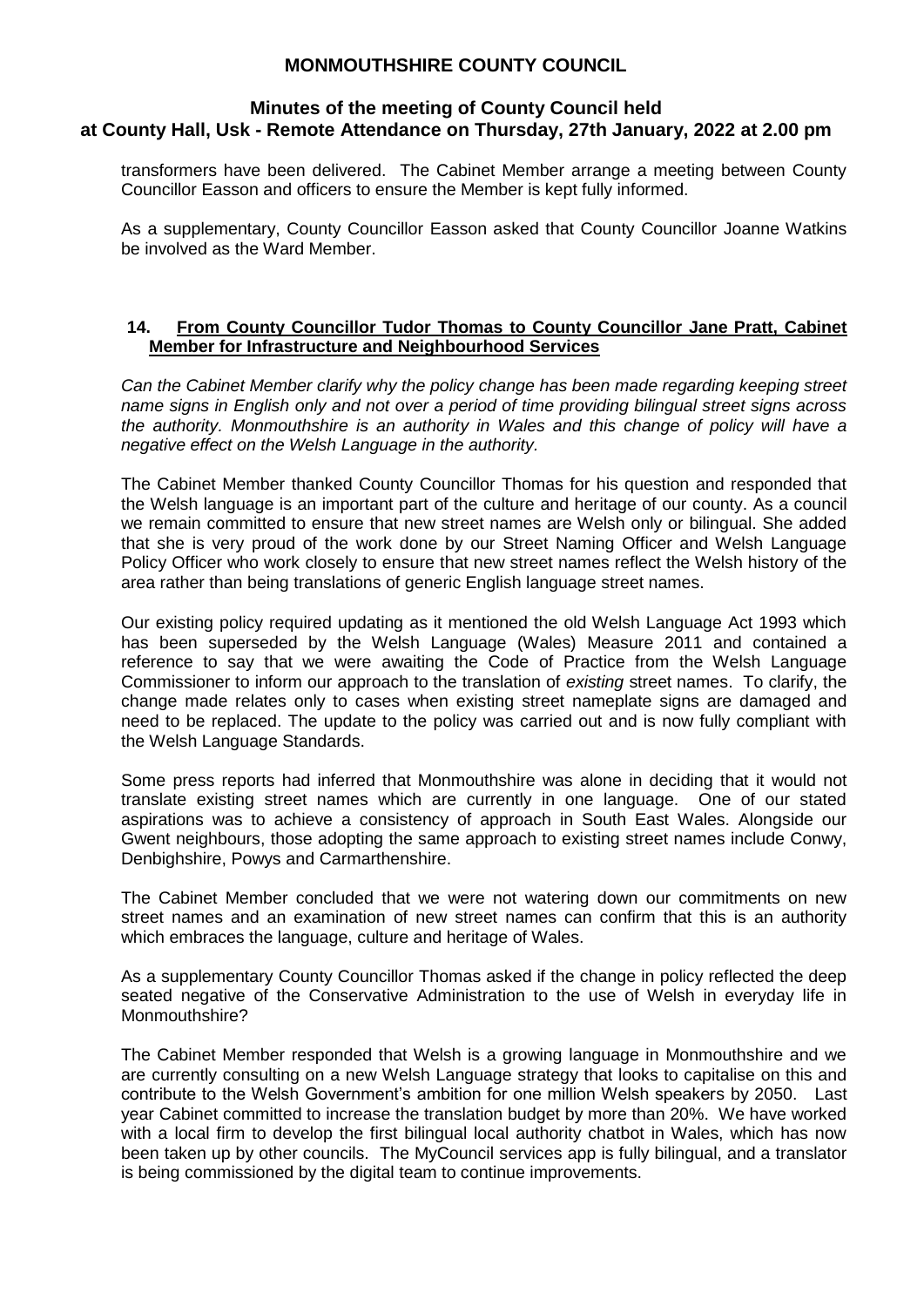### **Minutes of the meeting of County Council held at County Hall, Usk - Remote Attendance on Thursday, 27th January, 2022 at 2.00 pm**

transformers have been delivered. The Cabinet Member arrange a meeting between County Councillor Easson and officers to ensure the Member is kept fully informed.

As a supplementary, County Councillor Easson asked that County Councillor Joanne Watkins be involved as the Ward Member.

#### **14. From County Councillor Tudor Thomas to County Councillor Jane Pratt, Cabinet Member for Infrastructure and Neighbourhood Services**

*Can the Cabinet Member clarify why the policy change has been made regarding keeping street name signs in English only and not over a period of time providing bilingual street signs across the authority. Monmouthshire is an authority in Wales and this change of policy will have a negative effect on the Welsh Language in the authority.*

The Cabinet Member thanked County Councillor Thomas for his question and responded that the Welsh language is an important part of the culture and heritage of our county. As a council we remain committed to ensure that new street names are Welsh only or bilingual. She added that she is very proud of the work done by our Street Naming Officer and Welsh Language Policy Officer who work closely to ensure that new street names reflect the Welsh history of the area rather than being translations of generic English language street names.

Our existing policy required updating as it mentioned the old Welsh Language Act 1993 which has been superseded by the Welsh Language (Wales) Measure 2011 and contained a reference to say that we were awaiting the Code of Practice from the Welsh Language Commissioner to inform our approach to the translation of *existing* street names. To clarify, the change made relates only to cases when existing street nameplate signs are damaged and need to be replaced. The update to the policy was carried out and is now fully compliant with the Welsh Language Standards.

Some press reports had inferred that Monmouthshire was alone in deciding that it would not translate existing street names which are currently in one language. One of our stated aspirations was to achieve a consistency of approach in South East Wales. Alongside our Gwent neighbours, those adopting the same approach to existing street names include Conwy, Denbighshire, Powys and Carmarthenshire.

The Cabinet Member concluded that we were not watering down our commitments on new street names and an examination of new street names can confirm that this is an authority which embraces the language, culture and heritage of Wales.

As a supplementary County Councillor Thomas asked if the change in policy reflected the deep seated negative of the Conservative Administration to the use of Welsh in everyday life in Monmouthshire?

The Cabinet Member responded that Welsh is a growing language in Monmouthshire and we are currently consulting on a new Welsh Language strategy that looks to capitalise on this and contribute to the Welsh Government's ambition for one million Welsh speakers by 2050. Last year Cabinet committed to increase the translation budget by more than 20%. We have worked with a local firm to develop the first bilingual local authority chatbot in Wales, which has now been taken up by other councils. The MyCouncil services app is fully bilingual, and a translator is being commissioned by the digital team to continue improvements.